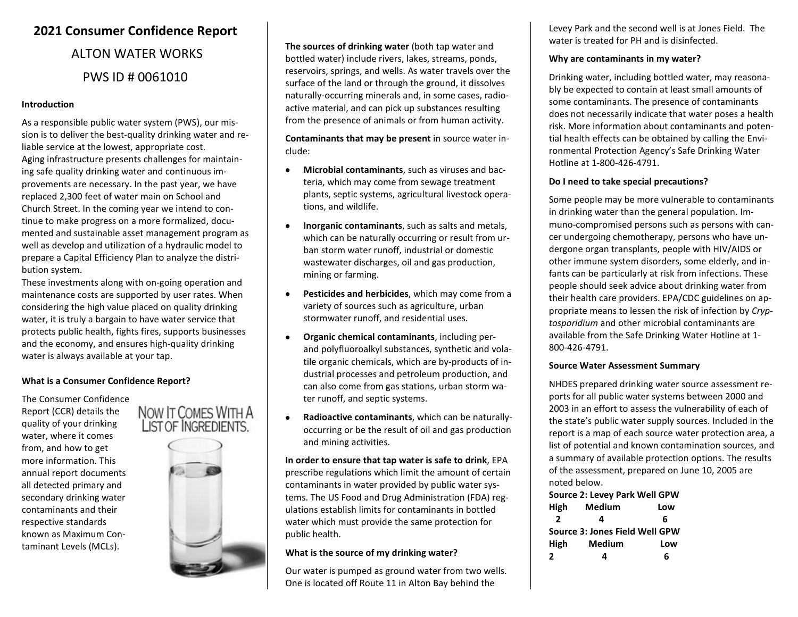# **2021 Consumer Confidence Report**

# ALTON WATER WORKS PWS ID # 0061010

#### **Introduction**

As a responsible public water system (PWS), our mission is to deliver the best-quality drinking water and reliable service at the lowest, appropriate cost. Aging infrastructure presents challenges for maintaining safe quality drinking water and continuous improvements are necessary. In the past year, we have replaced 2,300 feet of water main on School and Church Street. In the coming year we intend to continue to make progress on a more formalized, documented and sustainable asset management program as well as develop and utilization of a hydraulic model to prepare a Capital Efficiency Plan to analyze the distribution system.

These investments along with on-going operation and maintenance costs are supported by user rates. When considering the high value placed on quality drinking water, it is truly a bargain to have water service that protects public health, fights fires, supports businesses and the economy, and ensures high-quality drinking water is always available at your tap.

# **What is a Consumer Confidence Report?**

The Consumer Confidence Report (CCR) details the quality of your drinking water, where it comes from, and how to get more information. This annual report documents all detected primary and secondary drinking water contaminants and their respective standards known as Maximum Contaminant Levels (MCLs).





**The sources of drinking water** (both tap water and bottled water) include rivers, lakes, streams, ponds, reservoirs, springs, and wells. As water travels over the surface of the land or through the ground, it dissolves naturally-occurring minerals and, in some cases, radioactive material, and can pick up substances resulting from the presence of animals or from human activity.

**Contaminants that may be present** in source water include:

- **Microbial contaminants**, such as viruses and bacteria, which may come from sewage treatment plants, septic systems, agricultural livestock operations, and wildlife.
- **Inorganic contaminants**, such as salts and metals, which can be naturally occurring or result from urban storm water runoff, industrial or domestic wastewater discharges, oil and gas production, mining or farming.
- **Pesticides and herbicides**, which may come from a variety of sources such as agriculture, urban stormwater runoff, and residential uses.
- **Organic chemical contaminants**, including perand polyfluoroalkyl substances, synthetic and volatile organic chemicals, which are by-products of industrial processes and petroleum production, and can also come from gas stations, urban storm water runoff, and septic systems.
- **Radioactive contaminants**, which can be naturallyoccurring or be the result of oil and gas production and mining activities.

**In order to ensure that tap water is safe to drink**, EPA prescribe regulations which limit the amount of certain contaminants in water provided by public water systems. The US Food and Drug Administration (FDA) regulations establish limits for contaminants in bottled water which must provide the same protection for public health.

# **What is the source of my drinking water?**

Our water is pumped as ground water from two wells. One is located off Route 11 in Alton Bay behind the

Levey Park and the second well is at Jones Field. The water is treated for PH and is disinfected.

#### **Why are contaminants in my water?**

Drinking water, including bottled water, may reasonably be expected to contain at least small amounts of some contaminants. The presence of contaminants does not necessarily indicate that water poses a health risk. More information about contaminants and potential health effects can be obtained by calling the Environmental Protection Agency's Safe Drinking Water Hotline at 1-800-426-4791.

# **Do I need to take special precautions?**

Some people may be more vulnerable to contaminants in drinking water than the general population. Immuno-compromised persons such as persons with cancer undergoing chemotherapy, persons who have undergone organ transplants, people with HIV/AIDS or other immune system disorders, some elderly, and infants can be particularly at risk from infections. These people should seek advice about drinking water from their health care providers. EPA/CDC guidelines on appropriate means to lessen the risk of infection by *Cryptosporidium* and other microbial contaminants are available from the Safe Drinking Water Hotline at 1- 800-426-4791.

#### **Source Water Assessment Summary**

NHDES prepared drinking water source assessment reports for all public water systems between 2000 and 2003 in an effort to assess the vulnerability of each of the state's public water supply sources. Included in the report is a map of each source water protection area, a list of potential and known contamination sources, and a summary of available protection options. The results of the assessment, prepared on June 10, 2005 are noted below**.** 

# **Source 2: Levey Park Well GPW**

| High | Medium                         | Low |
|------|--------------------------------|-----|
| 2    | 4                              | 6   |
|      | Source 3: Jones Field Well GPW |     |
| High | <b>Medium</b>                  | Low |
| 2    | 4                              | 6   |